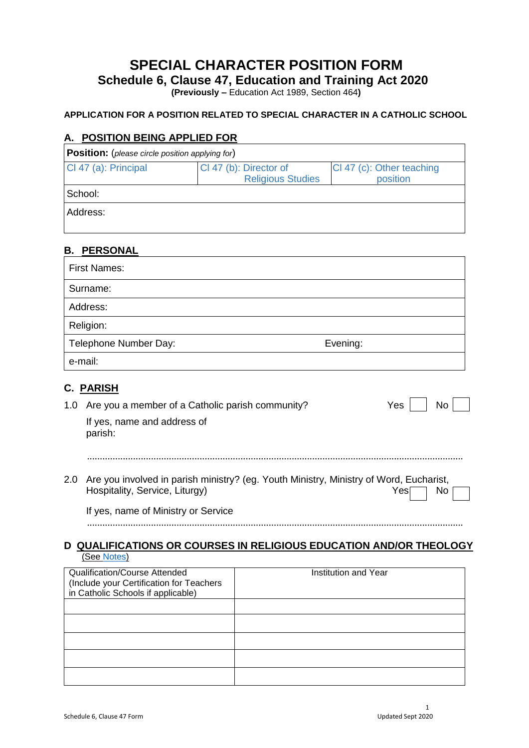# **SPECIAL CHARACTER POSITION FORM**

**Schedule 6, Clause 47, Education and Training Act 2020**

**(Previously –** Education Act 1989, Section 464**)**

#### **APPLICATION FOR A POSITION RELATED TO SPECIAL CHARACTER IN A CATHOLIC SCHOOL**

#### **A. POSITION BEING APPLIED FOR**

| <b>Position:</b> (please circle position applying for) |                                                    |                                       |  |
|--------------------------------------------------------|----------------------------------------------------|---------------------------------------|--|
| CI 47 (a): Principal                                   | Cl 47 (b): Director of<br><b>Religious Studies</b> | CI 47 (c): Other teaching<br>position |  |
| School:                                                |                                                    |                                       |  |
| Address:                                               |                                                    |                                       |  |

| <b>B. PERSONAL</b>                     |                                                  |                                                                                        |            |
|----------------------------------------|--------------------------------------------------|----------------------------------------------------------------------------------------|------------|
| <b>First Names:</b>                    |                                                  |                                                                                        |            |
| Surname:                               |                                                  |                                                                                        |            |
| Address:                               |                                                  |                                                                                        |            |
| Religion:                              |                                                  |                                                                                        |            |
| Telephone Number Day:                  |                                                  | Evening:                                                                               |            |
| e-mail:                                |                                                  |                                                                                        |            |
| <u>PARISH</u><br>С.                    |                                                  |                                                                                        |            |
| 1.0                                    | Are you a member of a Catholic parish community? |                                                                                        | Yes<br>No. |
| If yes, name and address of<br>parish: |                                                  |                                                                                        |            |
| 2.0                                    |                                                  | Are you involved in parish ministry? (eg. Youth Ministry, Ministry of Word, Eucharist, |            |
| Hospitality, Service, Liturgy)         |                                                  |                                                                                        | No.<br>Yes |
|                                        | If yes, name of Ministry or Service              |                                                                                        |            |
|                                        |                                                  | <b>QUALIFICATIONS OR COURSES IN RELIGIOUS EDUCATION AND/OR THEOLOGY</b>                |            |
| (See Notes)                            |                                                  |                                                                                        |            |
| <b>Qualification/Course Attended</b>   |                                                  | Institution and Year                                                                   |            |

| <b>Qualification/Course Attended</b>     | Institution and Year |
|------------------------------------------|----------------------|
| (Include your Certification for Teachers |                      |
| in Catholic Schools if applicable)       |                      |
|                                          |                      |
|                                          |                      |
|                                          |                      |
|                                          |                      |
|                                          |                      |
|                                          |                      |
|                                          |                      |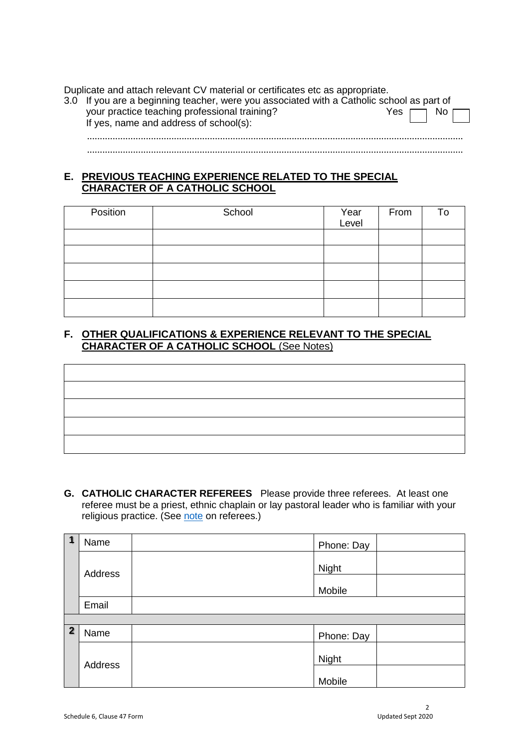Duplicate and attach relevant CV material or certificates etc as appropriate.

| 3.0 If you are a beginning teacher, were you associated with a Catholic school as part of |                         |
|-------------------------------------------------------------------------------------------|-------------------------|
| your practice teaching professional training?<br>If yes, name and address of school(s):   | No $\Box$<br>Yes $\Box$ |
|                                                                                           |                         |

...................................................................................................................................................

### **E. PREVIOUS TEACHING EXPERIENCE RELATED TO THE SPECIAL CHARACTER OF A CATHOLIC SCHOOL**

| Position | School | Year<br>Level | From | To |
|----------|--------|---------------|------|----|
|          |        |               |      |    |
|          |        |               |      |    |
|          |        |               |      |    |
|          |        |               |      |    |
|          |        |               |      |    |

## **F. OTHER QUALIFICATIONS & EXPERIENCE RELEVANT TO THE SPECIAL CHARACTER OF A CATHOLIC SCHOOL** (See Notes)

**G. CATHOLIC CHARACTER REFEREES** Please provide three referees. At least one referee must be a priest, ethnic chaplain or lay pastoral leader who is familiar with your religious practice. (See [note](https://www.nzceohandbook.org.nz/wp-content/uploads/2020/09/Employment-Fact-Sheet-9a-Notes-for-CI-47-Form.pdf) on referees.)

| 1              | Name    | Phone: Day |
|----------------|---------|------------|
|                | Address | Night      |
|                |         | Mobile     |
|                | Email   |            |
|                |         |            |
| $\overline{2}$ | Name    | Phone: Day |
|                | Address | Night      |
|                |         | Mobile     |